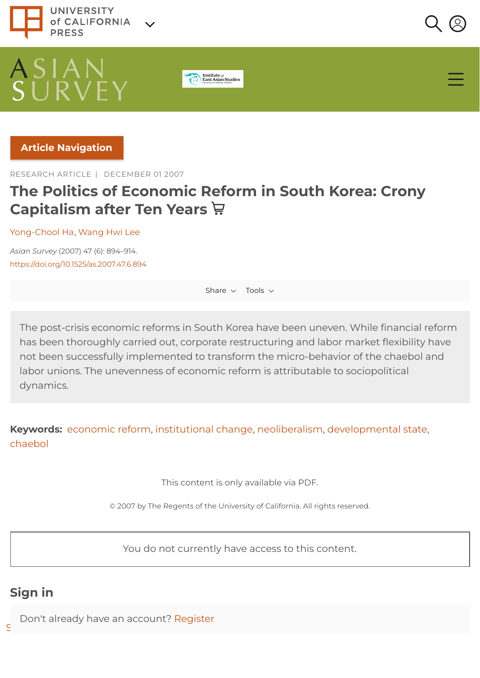

# ASIAN<br>SURVEY

Institute of<br>East Asian Studies

 $\equiv$ 

**Article Navigation**

RESEARCH ARTICLE | DECEMBER 01 2007

# **The Politics of Economic Reform in South Korea: Crony Capitalism after Ten Years**

[Yong-Chool](javascript:;) Ha, [Wang](javascript:;) Hwi Lee

*Asian Survey* (2007) 47 (6): 894–914. <https://doi.org/10.1525/as.2007.47.6.894>

[Share](javascript:;)  $\vee$  [Tools](javascript:;)  $\vee$ 

The post-crisis economic reforms in South Korea have been uneven. While financial reform has been thoroughly carried out, corporate restructuring and labor market flexibility have not been successfully implemented to transform the micro-behavior of the chaebol and labor unions. The unevenness of economic reform is attributable to sociopolitical dynamics.

**Keywords:** [economic](https://online.ucpress.edu/as/search-results?qb={%22Keywords1%22:%22economic+reform%22}) reform, [institutional](https://online.ucpress.edu/as/search-results?qb={%22Keywords1%22:%22institutional+change%22}) change, [neoliberalism,](https://online.ucpress.edu/as/search-results?qb={%22Keywords1%22:%22neoliberalism%22}) [developmental](https://online.ucpress.edu/as/search-results?qb={%22Keywords1%22:%22developmental+state%22}) state, [chaebol](https://online.ucpress.edu/as/search-results?qb={%22Keywords1%22:%22chaebol%22})

This content is only available via PDF.

© 2007 by The Regents of the University of California. All rights reserved.

You do not currently have access to this content.

# **Sign in**

Skip to Main Content Don't already have an account? [Register](https://online.ucpress.edu/my-account/register?siteId=1000035&returnUrl=https%3a%2f%2fonline.ucpress.edu%2fas%2farticle-abstract%2f47%2f6%2f894%2f24167%2fThe-Politics-of-Economic-Reform-in-South-Korea%3fredirectedFrom%3dPDF)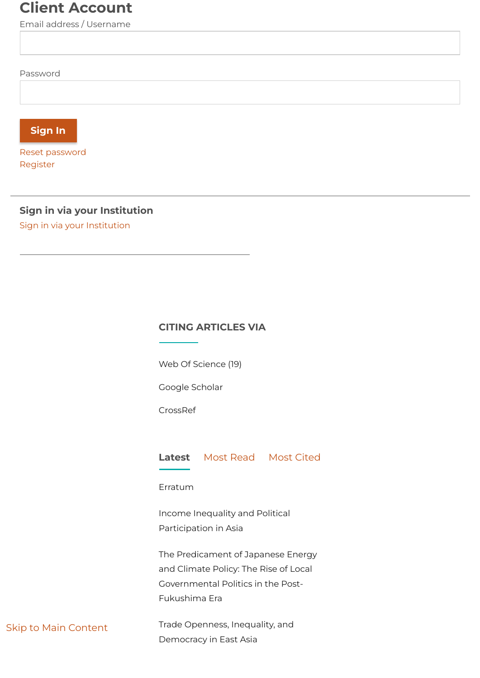# **Client Account**

Email address / Username

Password

#### **Sign In**

Reset [password](https://online.ucpress.edu/my-account/reset-password) [Register](https://online.ucpress.edu/my-account/register?siteId=1000035&returnUrl=https%3a%2f%2fonline.ucpress.edu%2fas%2farticle-abstract%2f47%2f6%2f894%2f24167%2fThe-Politics-of-Economic-Reform-in-South-Korea%3fredirectedFrom%3dPDF)

# **Sign in via your Institution**

Sign in via your [Institution](https://online.ucpress.edu/institutional-login?returnUrl=https%3a%2f%2fonline.ucpress.edu%2fas%2farticle-abstract%2f47%2f6%2f894%2f24167%2fThe-Politics-of-Economic-Reform-in-South-Korea%3fredirectedFrom%3dPDF)

#### **CITING ARTICLES VIA**

Web Of [Science](http://gateway.webofknowledge.com/gateway/Gateway.cgi?GWVersion=2&SrcApp=PARTNER_APP&SrcAuth=Silverchair&KeyUT=WOS:000252149600005&DestLinkType=CitingArticles&DestApp=WOS_CPL&UsrCustomerID=61f30d8ae69c46f86624c5f98a3bc13a) (19)

Google [Scholar](http://scholar.google.com/scholar?q=link:https%3A%2F%2Fonline.ucpress.edu%2Fas%2Farticle%2F47%2F6%2F894%2F24167)

[CrossRef](https://online.ucpress.edu/as/crossref-citedby/24167)

**[Latest](javascript:;)** Most [Read](javascript:;) Most [Cited](javascript:;)

[Erratum](https://online.ucpress.edu/as/article/62/3/556/184691/Erratum)

Income Inequality and Political [Participation](https://online.ucpress.edu/as/article/doi/10.1525/as.2022.1629072/169817/Income-Inequality-and-Political-Participation-in) in Asia

The Predicament of Japanese Energy and Climate Policy: The Rise of Local [Governmental](https://online.ucpress.edu/as/article/62/3/497/169818/The-Predicament-of-Japanese-Energy-and-Climate) Politics in the Post-Fukushima Era

Skip to Main Content

Trade Openness, Inequality, and [Democracy](https://online.ucpress.edu/as/article/62/3/524/123468/Trade-Openness-Inequality-and-Democracy-in-East) in East Asia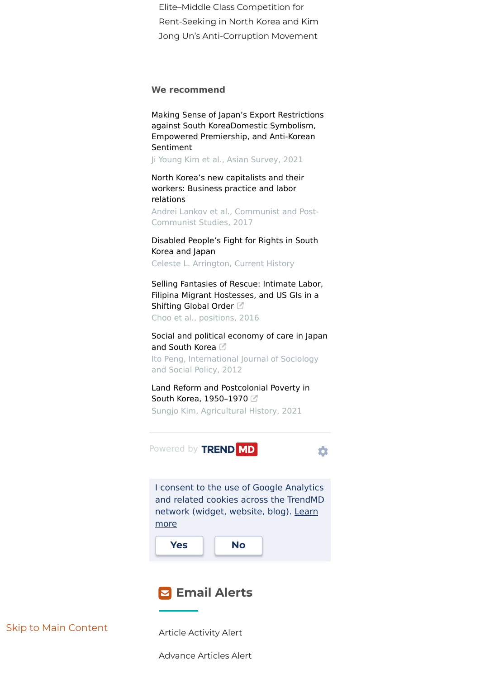Elite–Middle Class Competition for Rent-Seeking in North Korea and Kim Jong Un's [Anti-Corruption](https://online.ucpress.edu/as/article/62/3/467/120418/Elite-Middle-Class-Competition-for-Rent-Seeking-in) Movement

#### **We recommend**

[Making Sense of Japan's Export Restrictions](https://online.ucpress.edu/as/article-abstract/61/4/683/118265/Making-Sense-of-Japan-s-Export-Restrictions?redirectedFrom=fulltext&utm_source=TrendMD&utm_medium=cpc&utm_campaign=Asian_Survey_TrendMD_0) against South KoreaDomestic Symbolism, Empowered Premiership, and Anti-Korean Sentiment

Ji Young Kim et al., Asian Survey, 2021

[North Korea's new capitalists and their](https://online.ucpress.edu/cpcs/article/50/3/157/627/North-Korea-s-new-capitalists-and-their-workers?utm_source=TrendMD&utm_medium=cpc&utm_campaign=Communist_and_Post-Communist_Studies_TrendMD_0) workers: Business practice and labor relations

Andrei Lankov et al., Communist and Post-Communist Studies, 2017

[Disabled People's Fight for Rights in South](https://online.ucpress.edu/currenthistory/article/120/827/233/118343/Disabled-People-s-Fight-for-Rights-in-South-Korea?utm_source=TrendMD&utm_medium=cpc&utm_campaign=Current_History_TrendMD_0) Korea and Japan

Celeste L. Arrington, Current History

[Selling Fantasies of Rescue: Intimate Labor,](https://read.dukeupress.edu/positions/article-abstract/24/1/179/21772/Selling-Fantasies-of-Rescue-Intimate-Labor?utm_source=TrendMD&utm_medium=cpc&utm_campaign=positions_TrendMD_1) Filipina Migrant Hostesses, and US GIs in a Shifting Global Order Choo et al., positions, 2016

[Social and political economy of care in Japan](https://www.emerald.com/insight/content/doi/10.1108/01443331211280683/full/html?casa_token=H8-cbq7sFdkAAAAA%3AXAetcCE4cpIXxdDBa6jmL4Hw0AbcZ9-lZ8SE07IAMeZU8pZyVNicEqbrsHAAZq1SYqFCSGxpuXhGQyfeSjspV7BsOv3NPrERTab_qNfJx8JabRFUOD8z&utm_source=TrendMD&utm_medium=cpc&utm_campaign=International_Journal_of_Sociology_and_Social_Policy_TrendMD_1&WT.mc_id=Emerald_TrendMD_1) and South Korea

Ito Peng, International Journal of Sociology and Social Policy, 2012

[Land Reform and Postcolonial Poverty in](https://read.dukeupress.edu/agricultural-history/article/95/2/276/295313/Land-Reform-and-Postcolonial-Poverty-in-South?utm_source=TrendMD&utm_medium=cpc&utm_campaign=Agricultural_History_TrendMD_1) South Korea, 1950–1970 Sungjo Kim, Agricultural History, 2021





Skip to Main Content

Article [Activity](javascript:;) Alert

[Advance](javascript:;) Articles Alert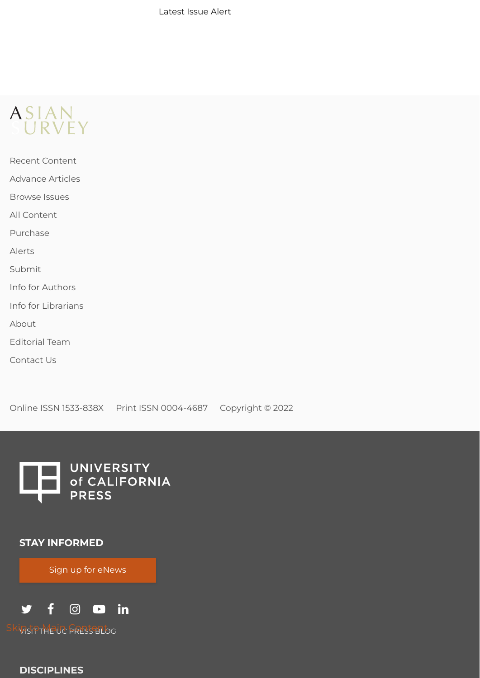[Latest](javascript:;) Issue Alert



| <b>Recent Content</b> |
|-----------------------|
| Advance Articles      |
| Browse Issues         |
| All Content           |
| Purchase              |
| Alerts                |
| Submit                |
| Info for Authors      |
| Info for Librarians   |
| About                 |
| <b>Editorial Team</b> |
| Contact Us            |
|                       |

Online ISSN 1533-838X Print ISSN 0004-4687 Copyright © 2022



## **STAY INFORMED**

Sign up for [eNews](https://ucpress.us1.list-manage.com/subscribe/post?u=00b4d5deed816ba6f14fa2287&id=98a0b87ef6)



Skip<sub>si</sub>p the UC Press BLog

**[DISCIPLINES](https://www.ucpress.edu/disciplines)**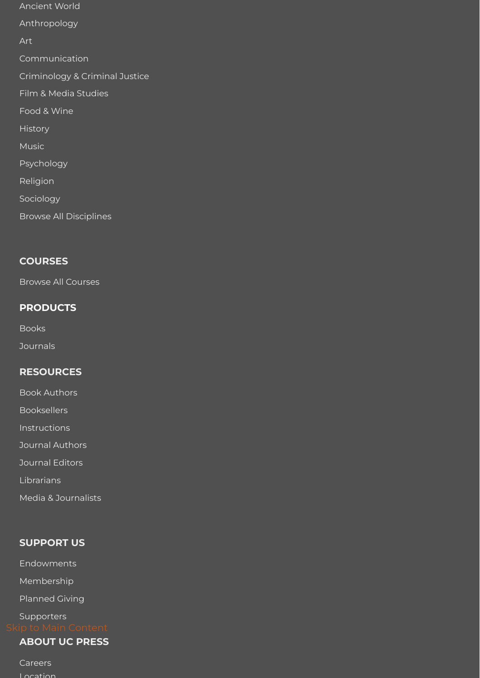[Ancient](https://www.ucpress.edu/discipline/clamaj/ancient-world) World [Anthropology](https://www.ucpress.edu/discipline/antmaj/anthropology) [Art](https://www.ucpress.edu/discipline/artmaj/art) [Communication](https://www.ucpress.edu/discipline/commaj/communication) [Criminology](https://www.ucpress.edu/discipline/crimaj/criminology-criminal-justice) & Criminal Justice Film & Media [Studies](https://www.ucpress.edu/discipline/cinmaj/film-media-studies) Food & [Wine](https://www.ucpress.edu/discipline/foomaj/food-wine) [History](https://www.ucpress.edu/discipline/hismaj/history) [Music](https://www.ucpress.edu/discipline/musmaj/music) [Psychology](https://www.ucpress.edu/discipline/psymaj/psychology) [Religion](https://www.ucpress.edu/discipline/relmaj/religion) [Sociology](https://www.ucpress.edu/discipline/socmaj/sociology) Browse All [Disciplines](https://www.ucpress.edu/disciplines)

### **[COURSES](https://www.ucpress.edu/courses)**

Browse All [Courses](https://www.ucpress.edu/courses)

### **PRODUCTS**

[Books](https://www.ucpress.edu/books)

**[Journals](https://online.ucpress.edu/journals)** 

### **[RESOURCES](https://www.ucpress.edu/resources)**

- Book [Authors](https://www.ucpress.edu/resources/book-authors)
- [Booksellers](https://www.ucpress.edu/resources/booksellers)
- [Instructions](https://www.ucpress.edu/resources/instructors)
- Journal [Authors](https://online.ucpress.edu/journals/pages/authors)
- [Journal](https://online.ucpress.edu/journals/pages/editors) Editors

**[Librarians](https://www.ucpress.edu/resources/librarians)** 

Media & [Journalists](https://www.ucpress.edu/resources/media-journalists)

## **[SUPPORT](https://www.ucpress.edu/supportus) US**

[Endowments](https://www.ucpress.edu/supportus/endowments)

[Membership](https://www.ucpress.edu/supportus/membership)

[Planned](https://www.ucpress.edu/supportus/planned-giving) Giving

**[Supporters](https://www.ucpress.edu/supportus/supporters)** 

# **[ABOUT](https://www.ucpress.edu/about) UC PRESS**

[Careers](https://www.ucpress.edu/about/careers) [Location](https://www.ucpress.edu/about/location)